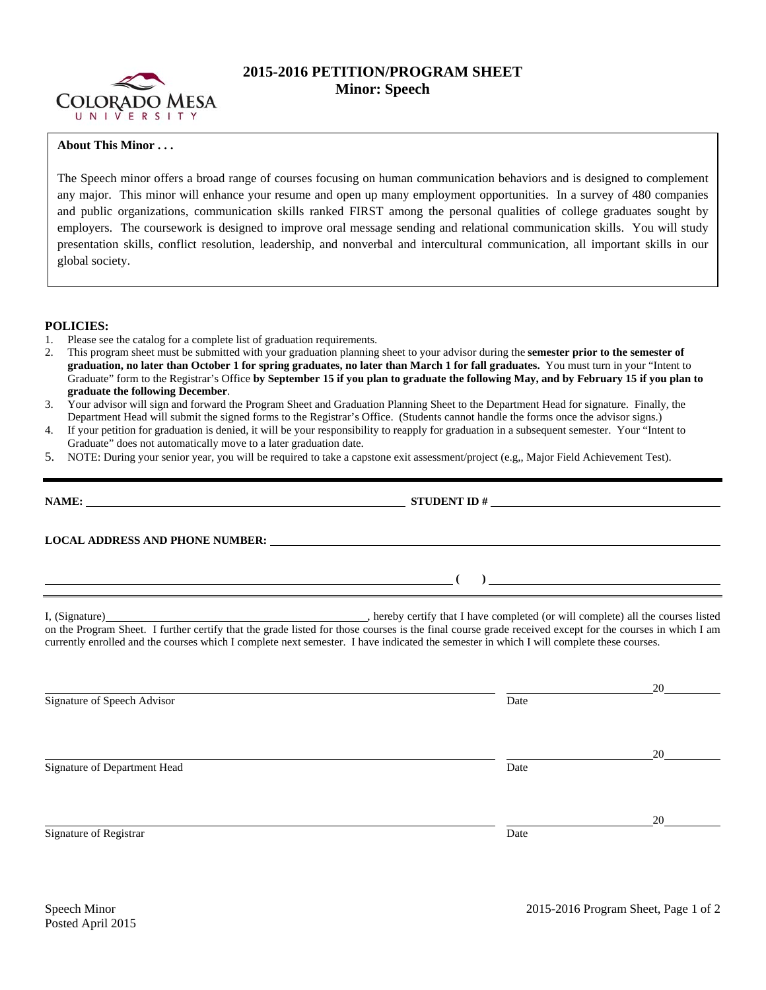

## **2015-2016 PETITION/PROGRAM SHEET Minor: Speech**

## **About This Minor . . .**

The Speech minor offers a broad range of courses focusing on human communication behaviors and is designed to complement any major. This minor will enhance your resume and open up many employment opportunities. In a survey of 480 companies and public organizations, communication skills ranked FIRST among the personal qualities of college graduates sought by employers. The coursework is designed to improve oral message sending and relational communication skills. You will study presentation skills, conflict resolution, leadership, and nonverbal and intercultural communication, all important skills in our global society.

## **POLICIES:**

- 1. Please see the catalog for a complete list of graduation requirements.
- 2. This program sheet must be submitted with your graduation planning sheet to your advisor during the **semester prior to the semester of graduation, no later than October 1 for spring graduates, no later than March 1 for fall graduates.** You must turn in your "Intent to Graduate" form to the Registrar's Office **by September 15 if you plan to graduate the following May, and by February 15 if you plan to graduate the following December**.
- 3. Your advisor will sign and forward the Program Sheet and Graduation Planning Sheet to the Department Head for signature. Finally, the Department Head will submit the signed forms to the Registrar's Office. (Students cannot handle the forms once the advisor signs.)
- 4. If your petition for graduation is denied, it will be your responsibility to reapply for graduation in a subsequent semester. Your "Intent to Graduate" does not automatically move to a later graduation date.
- 5. NOTE: During your senior year, you will be required to take a capstone exit assessment/project (e.g,, Major Field Achievement Test).

| NAME:                                                                                                                                                                                                                                        | STUDENT ID $\#$ |    |
|----------------------------------------------------------------------------------------------------------------------------------------------------------------------------------------------------------------------------------------------|-----------------|----|
|                                                                                                                                                                                                                                              |                 |    |
| $\overline{a}$ (b) and the set of $\overline{a}$ (c) and the set of $\overline{a}$ (c) and the set of $\overline{a}$<br><u> 1989 - Johann Barn, amerikan bernama di sebagai bernama dan bernama di sebagai bernama dalam bernama dalam b</u> |                 |    |
| currently enrolled and the courses which I complete next semester. I have indicated the semester in which I will complete these courses.                                                                                                     |                 |    |
| Signature of Speech Advisor                                                                                                                                                                                                                  | Date            |    |
| Signature of Department Head                                                                                                                                                                                                                 | Date            | 20 |
| Signature of Registrar                                                                                                                                                                                                                       | Date            |    |